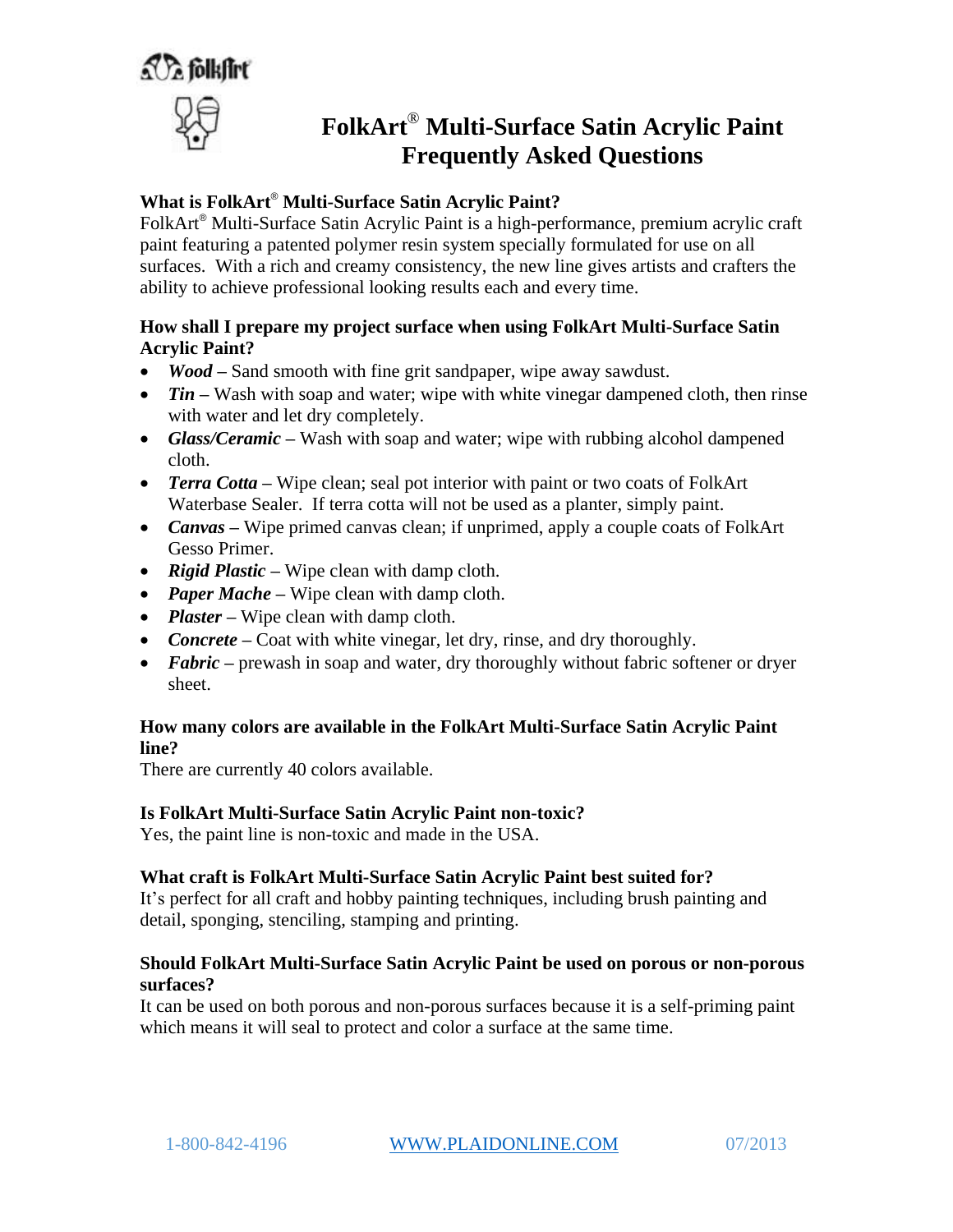a *T*a folkfirt



# **FolkArt**® **Multi-Surface Satin Acrylic Paint Frequently Asked Questions**

# **What is FolkArt**® **Multi-Surface Satin Acrylic Paint?**

FolkArt® Multi-Surface Satin Acrylic Paint is a high-performance, premium acrylic craft paint featuring a patented polymer resin system specially formulated for use on all surfaces. With a rich and creamy consistency, the new line gives artists and crafters the ability to achieve professional looking results each and every time.

## **How shall I prepare my project surface when using FolkArt Multi-Surface Satin Acrylic Paint?**

- *Wood* **–** Sand smooth with fine grit sandpaper, wipe away sawdust.
- Tin Wash with soap and water; wipe with white vinegar dampened cloth, then rinse with water and let dry completely.
- Glass/Ceramic Wash with soap and water; wipe with rubbing alcohol dampened cloth.
- *Terra Cotta* Wipe clean; seal pot interior with paint or two coats of FolkArt Waterbase Sealer. If terra cotta will not be used as a planter, simply paint.
- *Canvas* **–** Wipe primed canvas clean; if unprimed, apply a couple coats of FolkArt Gesso Primer.
- *Rigid Plastic* **–** Wipe clean with damp cloth.
- *Paper Mache* Wipe clean with damp cloth.
- *Plaster* Wipe clean with damp cloth.
- *Concrete* Coat with white vinegar, let dry, rinse, and dry thoroughly.
- **Fabric** prewash in soap and water, dry thoroughly without fabric softener or dryer sheet.

## **How many colors are available in the FolkArt Multi-Surface Satin Acrylic Paint line?**

There are currently 40 colors available.

## **Is FolkArt Multi-Surface Satin Acrylic Paint non-toxic?**

Yes, the paint line is non-toxic and made in the USA.

## **What craft is FolkArt Multi-Surface Satin Acrylic Paint best suited for?**

It's perfect for all craft and hobby painting techniques, including brush painting and detail, sponging, stenciling, stamping and printing.

## **Should FolkArt Multi-Surface Satin Acrylic Paint be used on porous or non-porous surfaces?**

It can be used on both porous and non-porous surfaces because it is a self-priming paint which means it will seal to protect and color a surface at the same time.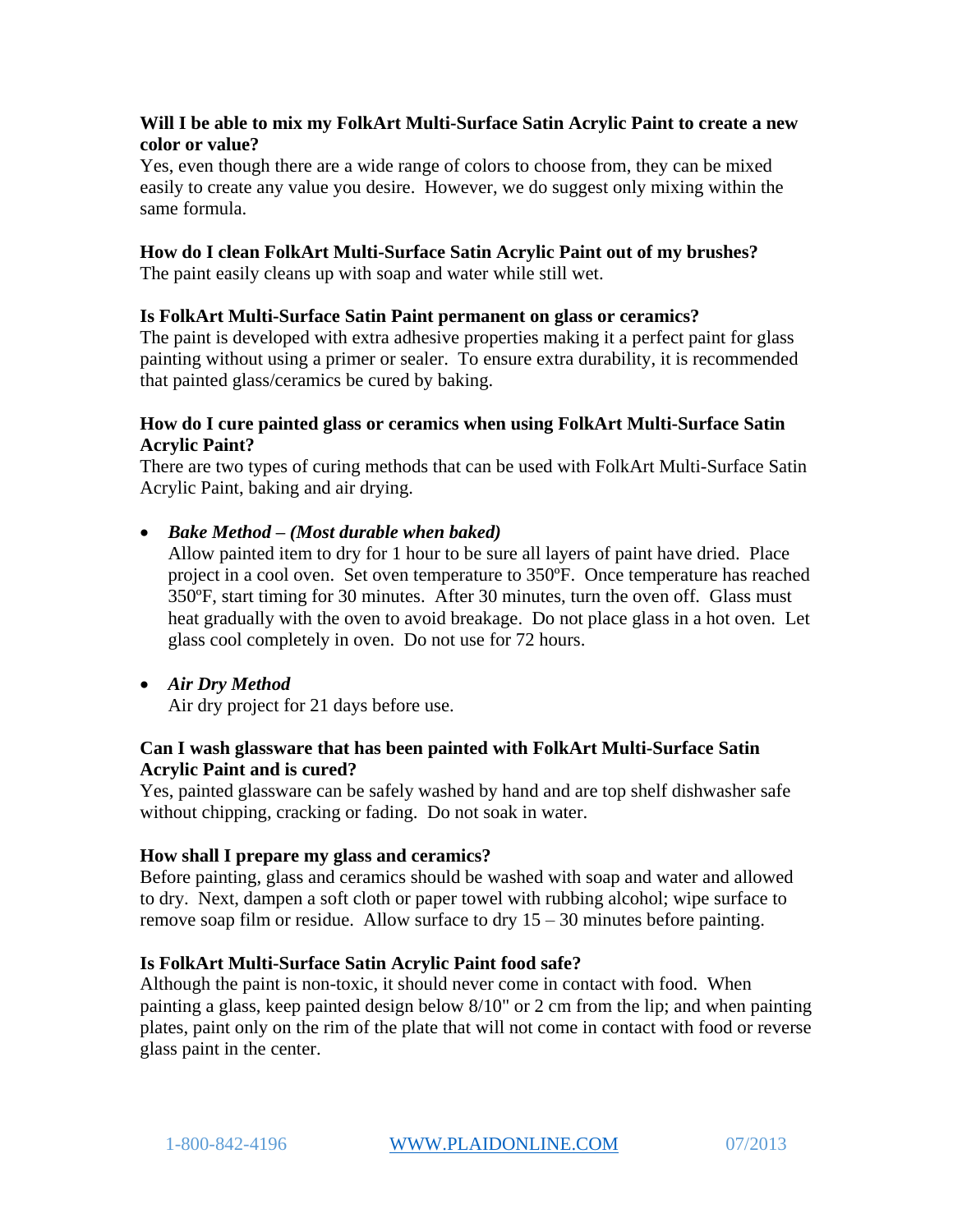## **Will I be able to mix my FolkArt Multi-Surface Satin Acrylic Paint to create a new color or value?**

Yes, even though there are a wide range of colors to choose from, they can be mixed easily to create any value you desire. However, we do suggest only mixing within the same formula.

## **How do I clean FolkArt Multi-Surface Satin Acrylic Paint out of my brushes?**

The paint easily cleans up with soap and water while still wet.

#### **Is FolkArt Multi-Surface Satin Paint permanent on glass or ceramics?**

The paint is developed with extra adhesive properties making it a perfect paint for glass painting without using a primer or sealer. To ensure extra durability, it is recommended that painted glass/ceramics be cured by baking.

#### **How do I cure painted glass or ceramics when using FolkArt Multi-Surface Satin Acrylic Paint?**

There are two types of curing methods that can be used with FolkArt Multi-Surface Satin Acrylic Paint, baking and air drying.

## *Bake Method – (Most durable when baked)*

Allow painted item to dry for 1 hour to be sure all layers of paint have dried. Place project in a cool oven. Set oven temperature to 350ºF. Once temperature has reached 350ºF, start timing for 30 minutes. After 30 minutes, turn the oven off. Glass must heat gradually with the oven to avoid breakage. Do not place glass in a hot oven. Let glass cool completely in oven. Do not use for 72 hours.

# *Air Dry Method*

Air dry project for 21 days before use.

## **Can I wash glassware that has been painted with FolkArt Multi-Surface Satin Acrylic Paint and is cured?**

Yes, painted glassware can be safely washed by hand and are top shelf dishwasher safe without chipping, cracking or fading. Do not soak in water.

#### **How shall I prepare my glass and ceramics?**

Before painting, glass and ceramics should be washed with soap and water and allowed to dry. Next, dampen a soft cloth or paper towel with rubbing alcohol; wipe surface to remove soap film or residue. Allow surface to dry  $15 - 30$  minutes before painting.

#### **Is FolkArt Multi-Surface Satin Acrylic Paint food safe?**

Although the paint is non-toxic, it should never come in contact with food. When painting a glass, keep painted design below 8/10" or 2 cm from the lip; and when painting plates, paint only on the rim of the plate that will not come in contact with food or reverse glass paint in the center.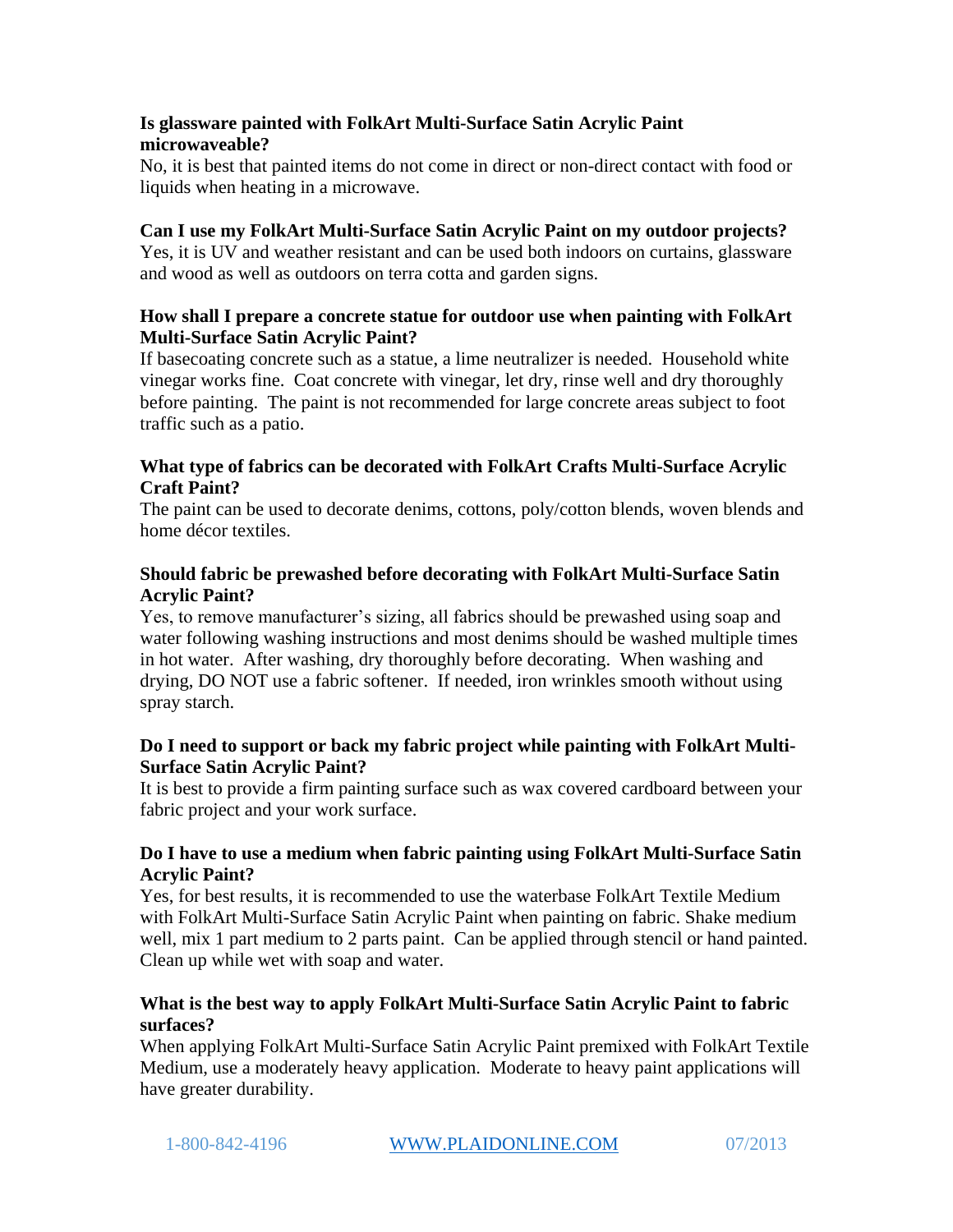## **Is glassware painted with FolkArt Multi-Surface Satin Acrylic Paint microwaveable?**

No, it is best that painted items do not come in direct or non-direct contact with food or liquids when heating in a microwave.

## **Can I use my FolkArt Multi-Surface Satin Acrylic Paint on my outdoor projects?**

Yes, it is UV and weather resistant and can be used both indoors on curtains, glassware and wood as well as outdoors on terra cotta and garden signs.

## **How shall I prepare a concrete statue for outdoor use when painting with FolkArt Multi-Surface Satin Acrylic Paint?**

If basecoating concrete such as a statue, a lime neutralizer is needed. Household white vinegar works fine. Coat concrete with vinegar, let dry, rinse well and dry thoroughly before painting. The paint is not recommended for large concrete areas subject to foot traffic such as a patio.

## **What type of fabrics can be decorated with FolkArt Crafts Multi-Surface Acrylic Craft Paint?**

The paint can be used to decorate denims, cottons, poly/cotton blends, woven blends and home décor textiles.

## **Should fabric be prewashed before decorating with FolkArt Multi-Surface Satin Acrylic Paint?**

Yes, to remove manufacturer's sizing, all fabrics should be prewashed using soap and water following washing instructions and most denims should be washed multiple times in hot water. After washing, dry thoroughly before decorating. When washing and drying, DO NOT use a fabric softener. If needed, iron wrinkles smooth without using spray starch.

## **Do I need to support or back my fabric project while painting with FolkArt Multi-Surface Satin Acrylic Paint?**

It is best to provide a firm painting surface such as wax covered cardboard between your fabric project and your work surface.

## **Do I have to use a medium when fabric painting using FolkArt Multi-Surface Satin Acrylic Paint?**

Yes, for best results, it is recommended to use the waterbase FolkArt Textile Medium with FolkArt Multi-Surface Satin Acrylic Paint when painting on fabric. Shake medium well, mix 1 part medium to 2 parts paint. Can be applied through stencil or hand painted. Clean up while wet with soap and water.

## **What is the best way to apply FolkArt Multi-Surface Satin Acrylic Paint to fabric surfaces?**

When applying FolkArt Multi-Surface Satin Acrylic Paint premixed with FolkArt Textile Medium, use a moderately heavy application. Moderate to heavy paint applications will have greater durability.